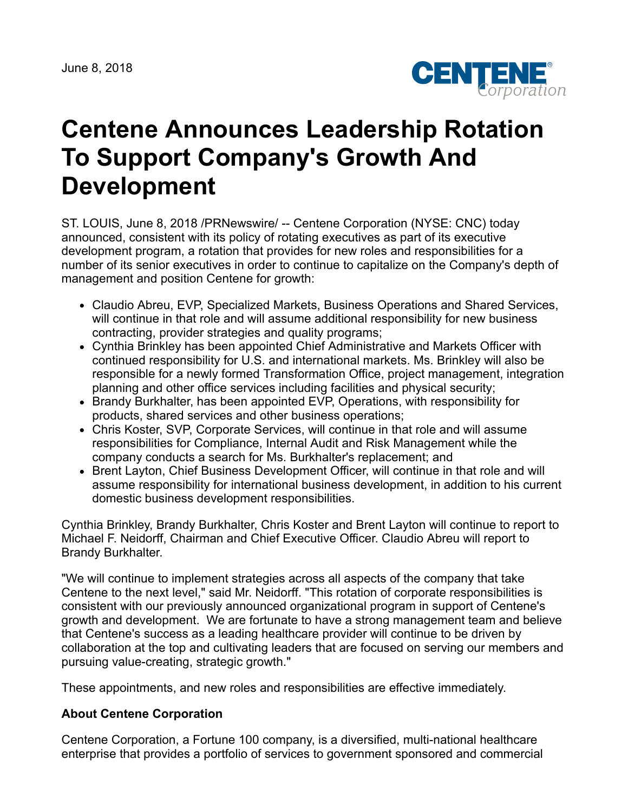

## **Centene Announces Leadership Rotation To Support Company's Growth And Development**

ST. LOUIS, June 8, 2018 /PRNewswire/ -- Centene Corporation (NYSE: CNC) today announced, consistent with its policy of rotating executives as part of its executive development program, a rotation that provides for new roles and responsibilities for a number of its senior executives in order to continue to capitalize on the Company's depth of management and position Centene for growth:

- Claudio Abreu, EVP, Specialized Markets, Business Operations and Shared Services, will continue in that role and will assume additional responsibility for new business contracting, provider strategies and quality programs;
- Cynthia Brinkley has been appointed Chief Administrative and Markets Officer with continued responsibility for U.S. and international markets. Ms. Brinkley will also be responsible for a newly formed Transformation Office, project management, integration planning and other office services including facilities and physical security;
- Brandy Burkhalter, has been appointed EVP, Operations, with responsibility for products, shared services and other business operations;
- Chris Koster, SVP, Corporate Services, will continue in that role and will assume responsibilities for Compliance, Internal Audit and Risk Management while the company conducts a search for Ms. Burkhalter's replacement; and
- Brent Layton, Chief Business Development Officer, will continue in that role and will assume responsibility for international business development, in addition to his current domestic business development responsibilities.

Cynthia Brinkley, Brandy Burkhalter, Chris Koster and Brent Layton will continue to report to Michael F. Neidorff, Chairman and Chief Executive Officer. Claudio Abreu will report to Brandy Burkhalter.

"We will continue to implement strategies across all aspects of the company that take Centene to the next level," said Mr. Neidorff. "This rotation of corporate responsibilities is consistent with our previously announced organizational program in support of Centene's growth and development. We are fortunate to have a strong management team and believe that Centene's success as a leading healthcare provider will continue to be driven by collaboration at the top and cultivating leaders that are focused on serving our members and pursuing value-creating, strategic growth."

These appointments, and new roles and responsibilities are effective immediately.

## **About Centene Corporation**

Centene Corporation, a Fortune 100 company, is a diversified, multi-national healthcare enterprise that provides a portfolio of services to government sponsored and commercial